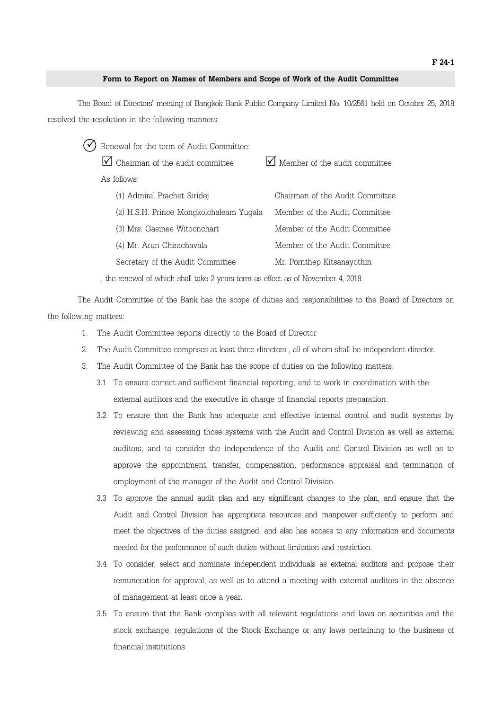## **Form to Report on Names of Members and Scope of Work of the Audit Committee**

The Board of Directors' meeting of Bangkok Bank Public Company Limited No. 10/2561 held on October 25, 2018 resolved the resolution in the following manners:

|             | Renewal for the term of Audit Committee: |                                           |
|-------------|------------------------------------------|-------------------------------------------|
|             | $\vee$ Chairman of the audit committee   | $\sqrt{\ }$ Member of the audit committee |
| As follows: |                                          |                                           |
|             | (1) Admiral Prachet Siridej              | Chairman of the Audit Committee           |
|             | (2) H.S.H. Prince Mongkolchaleam Yugala  | Member of the Audit Committee             |
|             | (3) Mrs. Gasinee Witoonchart             | Member of the Audit Committee             |
|             | (4) Mr. Arun Chirachavala                | Member of the Audit Committee             |
|             | Secretary of the Audit Committee         | Mr. Pornthep Kitsanayothin                |
|             |                                          |                                           |

, the renewal of which shall take 2 years term as effect as of November 4, 2018.

The Audit Committee of the Bank has the scope of duties and responsibilities to the Board of Directors on the following matters:

1. The Audit Committee reports directly to the Board of Director

- 2. The Audit Committee comprises at least three directors , all of whom shall be independent director.
- 3. The Audit Committee of the Bank has the scope of duties on the following matters:
	- 3.1 To ensure correct and sufficient financial reporting, and to work in coordination with the external auditors and the executive in charge of financial reports preparation.
	- 3.2 To ensure that the Bank has adequate and effective internal control and audit systems by reviewing and assessing those systems with the Audit and Control Division as well as external auditors, and to consider the independence of the Audit and Control Division as well as to approve the appointment, transfer, compensation, performance appraisal and termination of employment of the manager of the Audit and Control Division.
	- 3.3 To approve the annual audit plan and any significant changes to the plan, and ensure that the Audit and Control Division has appropriate resources and manpower sufficiently to perform and meet the objectives of the duties assigned, and also has access to any information and documents needed for the performance of such duties without limitation and restriction.
	- 3.4 To consider, select and nominate independent individuals as external auditors and propose their remuneration for approval, as well as to attend a meeting with external auditors in the absence of management at least once a year.
	- 3.5 To ensure that the Bank complies with all relevant regulations and laws on securities and the stock exchange, regulations of the Stock Exchange or any laws pertaining to the business of financial institutions